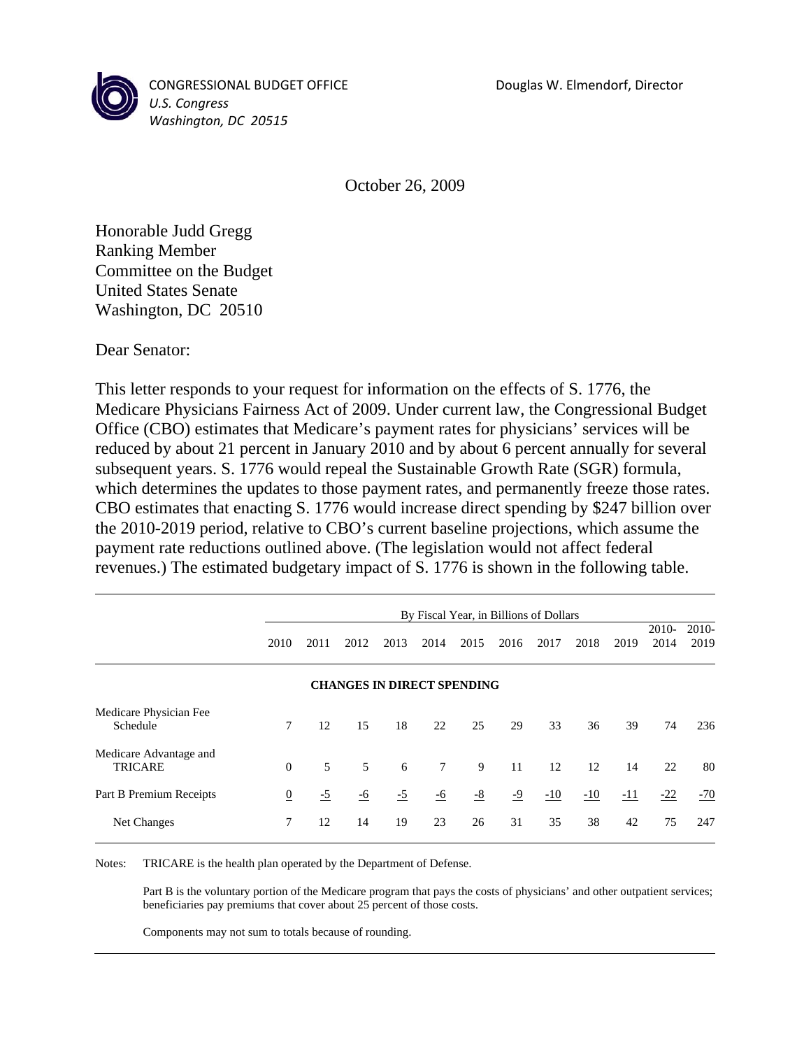

CONGRESSIONAL BUDGET OFFICE Douglas W. Elmendorf, Director *U.S. Congress Washington, DC 20515*

October 26, 2009

Honorable Judd Gregg Ranking Member Committee on the Budget United States Senate Washington, DC 20510

Dear Senator:

This letter responds to your request for information on the effects of S. 1776, the Medicare Physicians Fairness Act of 2009. Under current law, the Congressional Budget Office (CBO) estimates that Medicare's payment rates for physicians' services will be reduced by about 21 percent in January 2010 and by about 6 percent annually for several subsequent years. S. 1776 would repeal the Sustainable Growth Rate (SGR) formula, which determines the updates to those payment rates, and permanently freeze those rates. CBO estimates that enacting S. 1776 would increase direct spending by \$247 billion over the 2010-2019 period, relative to CBO's current baseline projections, which assume the payment rate reductions outlined above. (The legislation would not affect federal revenues.) The estimated budgetary impact of S. 1776 is shown in the following table.

|                                          | By Fiscal Year, in Billions of Dollars |      |           |      |           |      |      |       |       |       |                 |                 |  |
|------------------------------------------|----------------------------------------|------|-----------|------|-----------|------|------|-------|-------|-------|-----------------|-----------------|--|
|                                          | 2010                                   | 2011 | 2012      | 2013 | 2014      | 2015 | 2016 | 2017  | 2018  | 2019  | $2010-$<br>2014 | $2010-$<br>2019 |  |
|                                          | <b>CHANGES IN DIRECT SPENDING</b>      |      |           |      |           |      |      |       |       |       |                 |                 |  |
| Medicare Physician Fee<br>Schedule       | 7                                      | 12   | 15        | 18   | 22        | 25   | 29   | 33    | 36    | 39    | 74              | 236             |  |
| Medicare Advantage and<br><b>TRICARE</b> | $\mathbf{0}$                           | 5    | 5         | 6    | $\tau$    | 9    | 11   | 12    | 12    | 14    | 22              | 80              |  |
| Part B Premium Receipts                  | $\overline{0}$                         | $-5$ | <u>-6</u> | $-5$ | <u>-6</u> | $-8$ | $-9$ | $-10$ | $-10$ | $-11$ | $-22$           | $-70$           |  |
| Net Changes                              | 7                                      | 12   | 14        | 19   | 23        | 26   | 31   | 35    | 38    | 42    | 75              | 247             |  |

Notes: TRICARE is the health plan operated by the Department of Defense.

 Part B is the voluntary portion of the Medicare program that pays the costs of physicians' and other outpatient services; beneficiaries pay premiums that cover about 25 percent of those costs.

Components may not sum to totals because of rounding.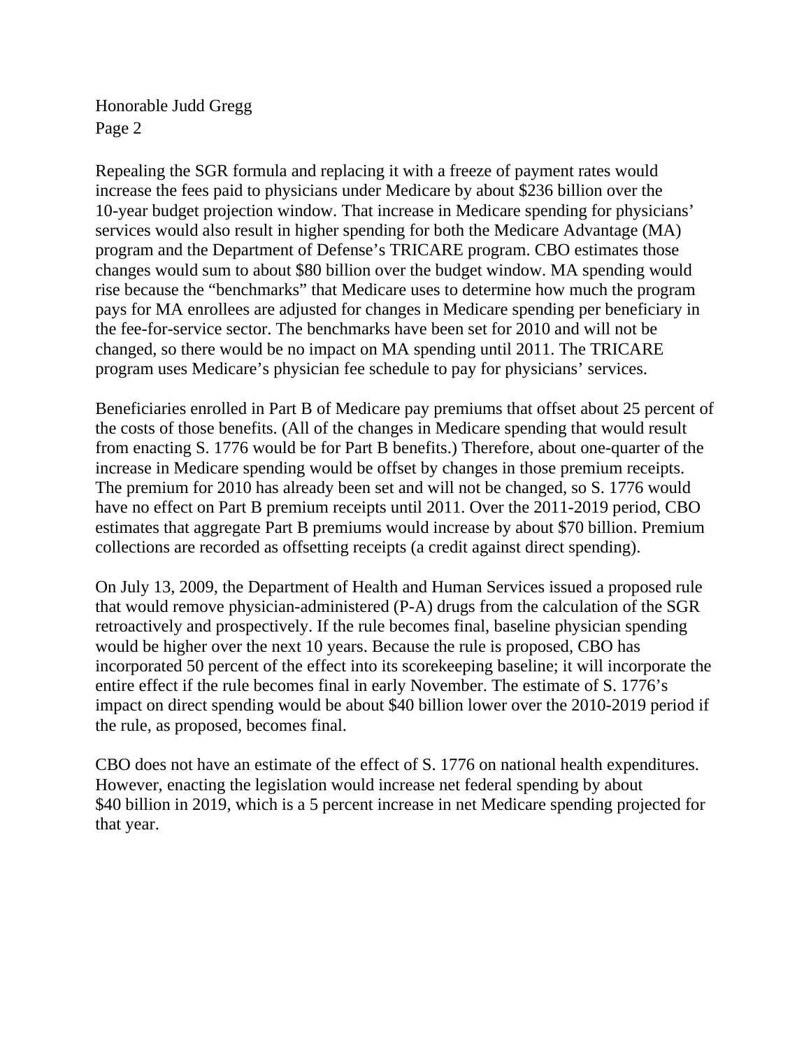Honorable Judd Gregg Page 2

Repealing the SGR formula and replacing it with a freeze of payment rates would increase the fees paid to physicians under Medicare by about \$236 billion over the 10-year budget projection window. That increase in Medicare spending for physicians' services would also result in higher spending for both the Medicare Advantage (MA) program and the Department of Defense's TRICARE program. CBO estimates those changes would sum to about \$80 billion over the budget window. MA spending would rise because the "benchmarks" that Medicare uses to determine how much the program pays for MA enrollees are adjusted for changes in Medicare spending per beneficiary in the fee-for-service sector. The benchmarks have been set for 2010 and will not be changed, so there would be no impact on MA spending until 2011. The TRICARE program uses Medicare's physician fee schedule to pay for physicians' services.

Beneficiaries enrolled in Part B of Medicare pay premiums that offset about 25 percent of the costs of those benefits. (All of the changes in Medicare spending that would result from enacting S. 1776 would be for Part B benefits.) Therefore, about one-quarter of the increase in Medicare spending would be offset by changes in those premium receipts. The premium for 2010 has already been set and will not be changed, so S. 1776 would have no effect on Part B premium receipts until 2011. Over the 2011-2019 period, CBO estimates that aggregate Part B premiums would increase by about \$70 billion. Premium collections are recorded as offsetting receipts (a credit against direct spending).

On July 13, 2009, the Department of Health and Human Services issued a proposed rule that would remove physician-administered (P-A) drugs from the calculation of the SGR retroactively and prospectively. If the rule becomes final, baseline physician spending would be higher over the next 10 years. Because the rule is proposed, CBO has incorporated 50 percent of the effect into its scorekeeping baseline; it will incorporate the entire effect if the rule becomes final in early November. The estimate of S. 1776's impact on direct spending would be about \$40 billion lower over the 2010-2019 period if the rule, as proposed, becomes final.

CBO does not have an estimate of the effect of S. 1776 on national health expenditures. However, enacting the legislation would increase net federal spending by about \$40 billion in 2019, which is a 5 percent increase in net Medicare spending projected for that year.